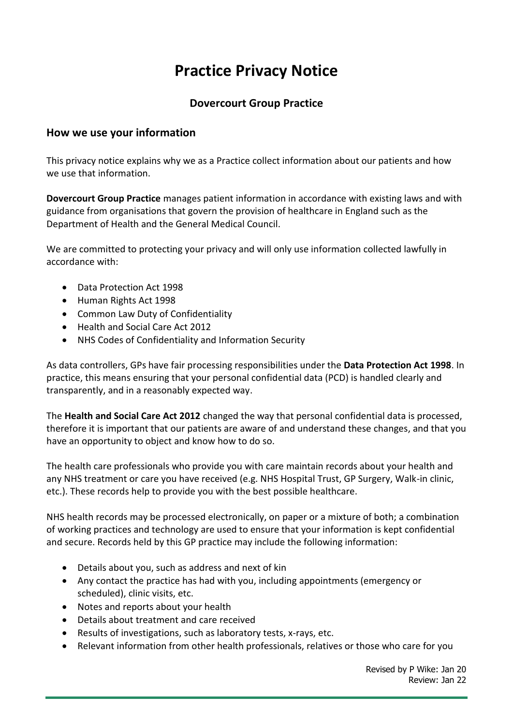# **Practice Privacy Notice**

## **Dovercourt Group Practice**

#### **How we use your information**

This privacy notice explains why we as a Practice collect information about our patients and how we use that information.

**Dovercourt Group Practice** manages patient information in accordance with existing laws and with guidance from organisations that govern the provision of healthcare in England such as the Department of Health and the General Medical Council.

We are committed to protecting your privacy and will only use information collected lawfully in accordance with:

- Data Protection Act 1998
- Human Rights Act 1998
- Common Law Duty of Confidentiality
- Health and Social Care Act 2012
- NHS Codes of Confidentiality and Information Security

As data controllers, GPs have fair processing responsibilities under the **Data Protection Act 1998**. In practice, this means ensuring that your personal confidential data (PCD) is handled clearly and transparently, and in a reasonably expected way.

The **Health and Social Care Act 2012** changed the way that personal confidential data is processed, therefore it is important that our patients are aware of and understand these changes, and that you have an opportunity to object and know how to do so.

The health care professionals who provide you with care maintain records about your health and any NHS treatment or care you have received (e.g. NHS Hospital Trust, GP Surgery, Walk-in clinic, etc.). These records help to provide you with the best possible healthcare.

NHS health records may be processed electronically, on paper or a mixture of both; a combination of working practices and technology are used to ensure that your information is kept confidential and secure. Records held by this GP practice may include the following information:

- Details about you, such as address and next of kin
- Any contact the practice has had with you, including appointments (emergency or scheduled), clinic visits, etc.
- Notes and reports about your health
- Details about treatment and care received
- Results of investigations, such as laboratory tests, x-rays, etc.
- Relevant information from other health professionals, relatives or those who care for you

Revised by P Wike: Jan 20 Review: Jan 22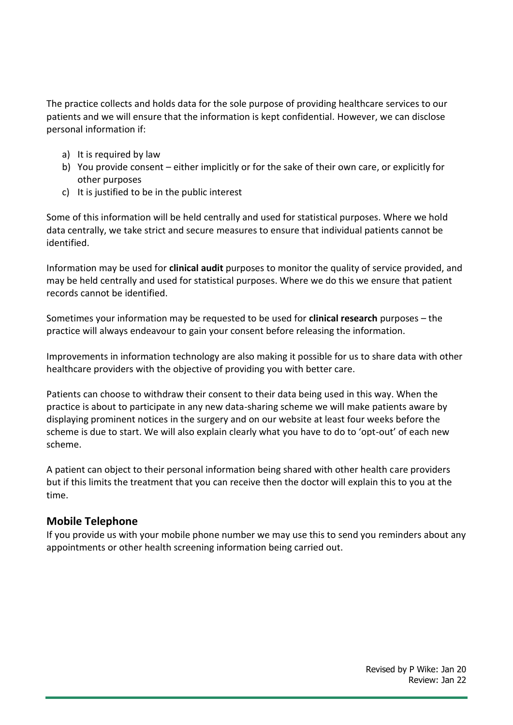The practice collects and holds data for the sole purpose of providing healthcare services to our patients and we will ensure that the information is kept confidential. However, we can disclose personal information if:

- a) It is required by law
- b) You provide consent either implicitly or for the sake of their own care, or explicitly for other purposes
- c) It is justified to be in the public interest

Some of this information will be held centrally and used for statistical purposes. Where we hold data centrally, we take strict and secure measures to ensure that individual patients cannot be identified.

Information may be used for **clinical audit** purposes to monitor the quality of service provided, and may be held centrally and used for statistical purposes. Where we do this we ensure that patient records cannot be identified.

Sometimes your information may be requested to be used for **clinical research** purposes – the practice will always endeavour to gain your consent before releasing the information.

Improvements in information technology are also making it possible for us to share data with other healthcare providers with the objective of providing you with better care.

Patients can choose to withdraw their consent to their data being used in this way. When the practice is about to participate in any new data-sharing scheme we will make patients aware by displaying prominent notices in the surgery and on our website at least four weeks before the scheme is due to start. We will also explain clearly what you have to do to 'opt-out' of each new scheme.

A patient can object to their personal information being shared with other health care providers but if this limits the treatment that you can receive then the doctor will explain this to you at the time.

#### **Mobile Telephone**

If you provide us with your mobile phone number we may use this to send you reminders about any appointments or other health screening information being carried out.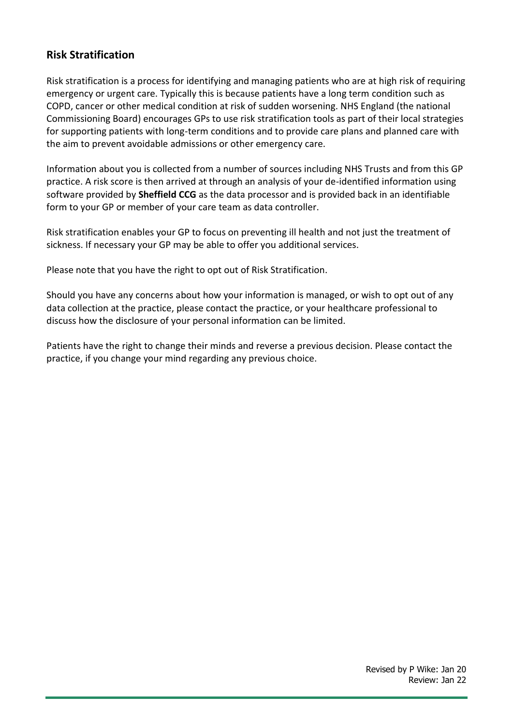## **Risk Stratification**

Risk stratification is a process for identifying and managing patients who are at high risk of requiring emergency or urgent care. Typically this is because patients have a long term condition such as COPD, cancer or other medical condition at risk of sudden worsening. NHS England (the national Commissioning Board) encourages GPs to use risk stratification tools as part of their local strategies for supporting patients with long-term conditions and to provide care plans and planned care with the aim to prevent avoidable admissions or other emergency care.

Information about you is collected from a number of sources including NHS Trusts and from this GP practice. A risk score is then arrived at through an analysis of your de-identified information using software provided by **Sheffield CCG** as the data processor and is provided back in an identifiable form to your GP or member of your care team as data controller.

Risk stratification enables your GP to focus on preventing ill health and not just the treatment of sickness. If necessary your GP may be able to offer you additional services.

Please note that you have the right to opt out of Risk Stratification.

Should you have any concerns about how your information is managed, or wish to opt out of any data collection at the practice, please contact the practice, or your healthcare professional to discuss how the disclosure of your personal information can be limited.

Patients have the right to change their minds and reverse a previous decision. Please contact the practice, if you change your mind regarding any previous choice.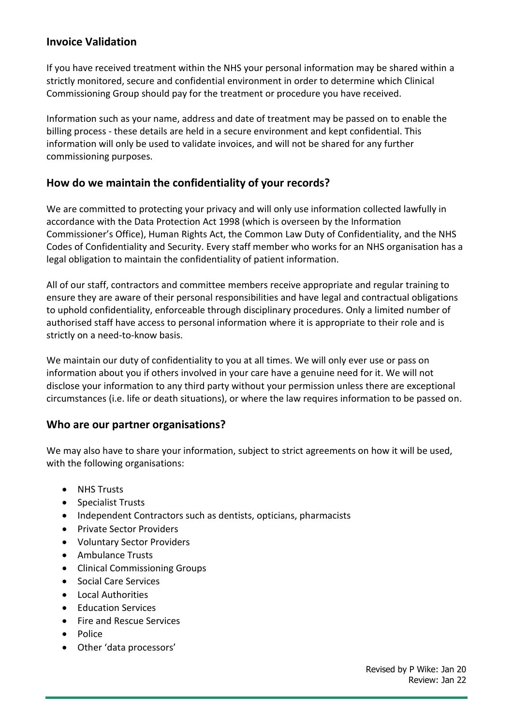### **Invoice Validation**

If you have received treatment within the NHS your personal information may be shared within a strictly monitored, secure and confidential environment in order to determine which Clinical Commissioning Group should pay for the treatment or procedure you have received.

Information such as your name, address and date of treatment may be passed on to enable the billing process - these details are held in a secure environment and kept confidential. This information will only be used to validate invoices, and will not be shared for any further commissioning purposes.

## **How do we maintain the confidentiality of your records?**

We are committed to protecting your privacy and will only use information collected lawfully in accordance with the Data Protection Act 1998 (which is overseen by the Information Commissioner's Office), Human Rights Act, the Common Law Duty of Confidentiality, and the NHS Codes of Confidentiality and Security. Every staff member who works for an NHS organisation has a legal obligation to maintain the confidentiality of patient information.

All of our staff, contractors and committee members receive appropriate and regular training to ensure they are aware of their personal responsibilities and have legal and contractual obligations to uphold confidentiality, enforceable through disciplinary procedures. Only a limited number of authorised staff have access to personal information where it is appropriate to their role and is strictly on a need-to-know basis.

We maintain our duty of confidentiality to you at all times. We will only ever use or pass on information about you if others involved in your care have a genuine need for it. We will not disclose your information to any third party without your permission unless there are exceptional circumstances (i.e. life or death situations), or where the law requires information to be passed on.

#### **Who are our partner organisations?**

We may also have to share your information, subject to strict agreements on how it will be used, with the following organisations:

- NHS Trusts
- Specialist Trusts
- Independent Contractors such as dentists, opticians, pharmacists
- Private Sector Providers
- Voluntary Sector Providers
- Ambulance Trusts
- Clinical Commissioning Groups
- Social Care Services
- Local Authorities
- Education Services
- Fire and Rescue Services
- Police
- Other 'data processors'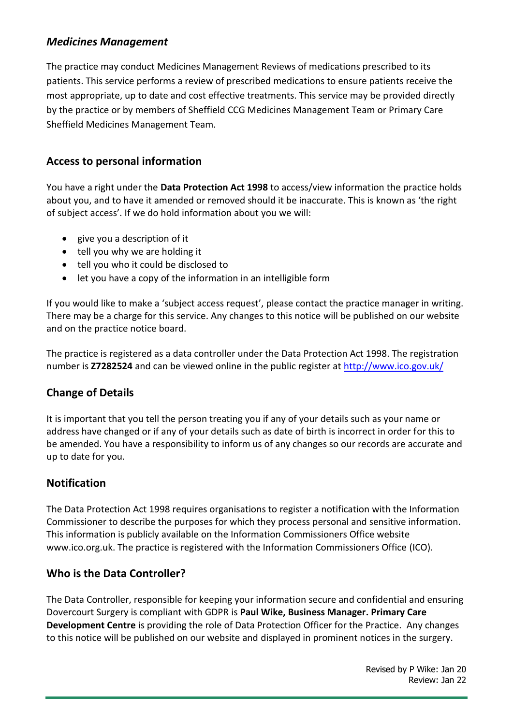## *Medicines Management*

The practice may conduct Medicines Management Reviews of medications prescribed to its patients. This service performs a review of prescribed medications to ensure patients receive the most appropriate, up to date and cost effective treatments. This service may be provided directly by the practice or by members of Sheffield CCG Medicines Management Team or Primary Care Sheffield Medicines Management Team.

### **Access to personal information**

You have a right under the **Data Protection Act 1998** to access/view information the practice holds about you, and to have it amended or removed should it be inaccurate. This is known as 'the right of subject access'. If we do hold information about you we will:

- give you a description of it
- tell you why we are holding it
- tell you who it could be disclosed to
- let you have a copy of the information in an intelligible form

If you would like to make a 'subject access request', please contact the practice manager in writing. There may be a charge for this service. Any changes to this notice will be published on our website and on the practice notice board.

The practice is registered as a data controller under the Data Protection Act 1998. The registration number is **Z7282524** and can be viewed online in the public register at<http://www.ico.gov.uk/>

#### **Change of Details**

It is important that you tell the person treating you if any of your details such as your name or address have changed or if any of your details such as date of birth is incorrect in order for this to be amended. You have a responsibility to inform us of any changes so our records are accurate and up to date for you.

#### **Notification**

The Data Protection Act 1998 requires organisations to register a notification with the Information Commissioner to describe the purposes for which they process personal and sensitive information. This information is publicly available on the Information Commissioners Office website www.ico.org.uk. The practice is registered with the Information Commissioners Office (ICO).

#### **Who is the Data Controller?**

The Data Controller, responsible for keeping your information secure and confidential and ensuring Dovercourt Surgery is compliant with GDPR is **Paul Wike, Business Manager. Primary Care Development Centre** is providing the role of Data Protection Officer for the Practice. Any changes to this notice will be published on our website and displayed in prominent notices in the surgery.